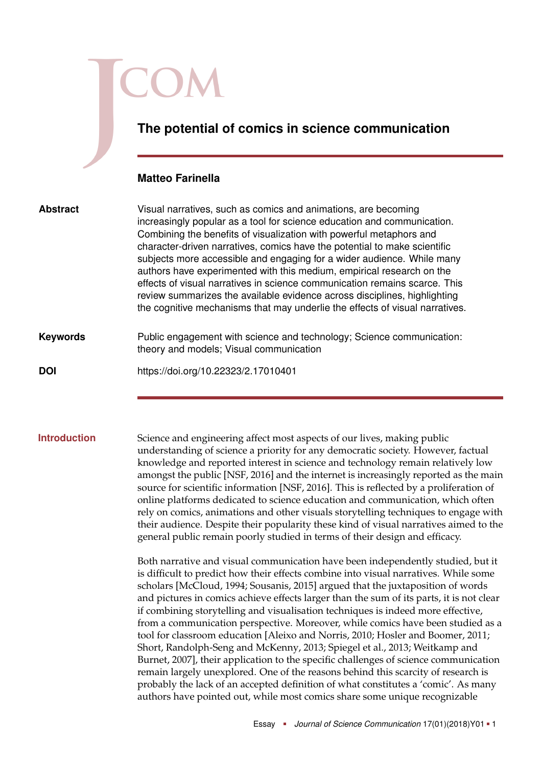# **The potential of comics in science communication Matteo Farinella** Visual narratives, such as comics and animations, are becoming increasingly popular as a tool for science education and communication. Combining the benefits of visualization with powerful metaphors and character-driven narratives, comics have the potential to make scientific subjects more accessible and engaging for a wider audience. While many authors have experimented with this medium, empirical research on the effects of visual narratives in science communication remains scarce. This review summarizes the available evidence across disciplines, highlighting the cognitive mechanisms that may underlie the effects of visual narratives. **Abstract** Public engagement with science and technology; Science communication: theory and models; Visual communication **Keywords DOI** <https://doi.org/10.22323/2.17010401>

**Introduction** Science and engineering affect most aspects of our lives, making public understanding of science a priority for any democratic society. However, factual knowledge and reported interest in science and technology remain relatively low amongst the public [NSF, [2016\]](#page-13-0) and the internet is increasingly reported as the main source for scientific information [NSF, [2016\]](#page-13-0). This is reflected by a proliferation of online platforms dedicated to science education and communication, which often rely on comics, animations and other visuals storytelling techniques to engage with their audience. Despite their popularity these kind of visual narratives aimed to the general public remain poorly studied in terms of their design and efficacy.

> Both narrative and visual communication have been independently studied, but it is difficult to predict how their effects combine into visual narratives. While some scholars [McCloud, [1994;](#page-13-1) Sousanis, [2015\]](#page-14-0) argued that the juxtaposition of words and pictures in comics achieve effects larger than the sum of its parts, it is not clear if combining storytelling and visualisation techniques is indeed more effective, from a communication perspective. Moreover, while comics have been studied as a tool for classroom education [Aleixo and Norris, [2010;](#page-9-0) Hosler and Boomer, [2011;](#page-11-0) Short, Randolph-Seng and McKenny, [2013;](#page-14-1) Spiegel et al., [2013;](#page-14-2) Weitkamp and Burnet, [2007\]](#page-15-0), their application to the specific challenges of science communication remain largely unexplored. One of the reasons behind this scarcity of research is probably the lack of an accepted definition of what constitutes a 'comic'. As many authors have pointed out, while most comics share some unique recognizable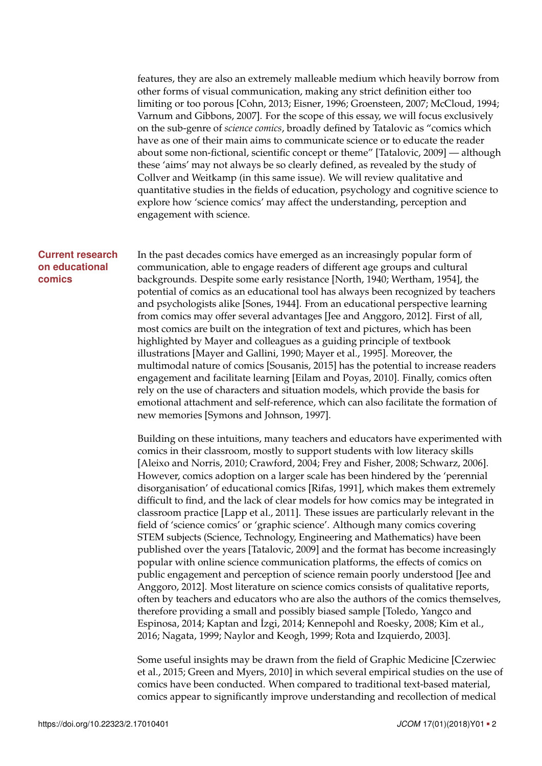features, they are also an extremely malleable medium which heavily borrow from other forms of visual communication, making any strict definition either too limiting or too porous [Cohn, [2013;](#page-9-1) Eisner, [1996;](#page-10-0) Groensteen, [2007;](#page-11-1) McCloud, [1994;](#page-13-1) Varnum and Gibbons, [2007\]](#page-15-1). For the scope of this essay, we will focus exclusively on the sub-genre of *science comics*, broadly defined by Tatalovic as "comics which have as one of their main aims to communicate science or to educate the reader about some non-fictional, scientific concept or theme" [Tatalovic, [2009\]](#page-15-2) — although these 'aims' may not always be so clearly defined, as revealed by the study of Collver and Weitkamp (in this same issue). We will review qualitative and quantitative studies in the fields of education, psychology and cognitive science to explore how 'science comics' may affect the understanding, perception and engagement with science.

## **Current research on educational comics**

In the past decades comics have emerged as an increasingly popular form of communication, able to engage readers of different age groups and cultural backgrounds. Despite some early resistance [North, [1940;](#page-14-3) Wertham, [1954\]](#page-15-3), the potential of comics as an educational tool has always been recognized by teachers and psychologists alike [Sones, [1944\]](#page-14-4). From an educational perspective learning from comics may offer several advantages [Jee and Anggoro, [2012\]](#page-12-0). First of all, most comics are built on the integration of text and pictures, which has been highlighted by Mayer and colleagues as a guiding principle of textbook illustrations [Mayer and Gallini, [1990;](#page-13-2) Mayer et al., [1995\]](#page-13-3). Moreover, the multimodal nature of comics [Sousanis, [2015\]](#page-14-0) has the potential to increase readers engagement and facilitate learning [Eilam and Poyas, [2010\]](#page-10-1). Finally, comics often rely on the use of characters and situation models, which provide the basis for emotional attachment and self-reference, which can also facilitate the formation of new memories [Symons and Johnson, [1997\]](#page-14-5).

Building on these intuitions, many teachers and educators have experimented with comics in their classroom, mostly to support students with low literacy skills [Aleixo and Norris, [2010;](#page-9-0) Crawford, [2004;](#page-10-2) Frey and Fisher, [2008;](#page-10-3) Schwarz, [2006\]](#page-14-6). However, comics adoption on a larger scale has been hindered by the 'perennial disorganisation' of educational comics [Rifas, [1991\]](#page-14-7), which makes them extremely difficult to find, and the lack of clear models for how comics may be integrated in classroom practice [Lapp et al., [2011\]](#page-12-1). These issues are particularly relevant in the field of 'science comics' or 'graphic science'. Although many comics covering STEM subjects (Science, Technology, Engineering and Mathematics) have been published over the years [Tatalovic, [2009\]](#page-15-2) and the format has become increasingly popular with online science communication platforms, the effects of comics on public engagement and perception of science remain poorly understood [Jee and Anggoro, [2012\]](#page-12-0). Most literature on science comics consists of qualitative reports, often by teachers and educators who are also the authors of the comics themselves, therefore providing a small and possibly biased sample [Toledo, Yangco and Espinosa, [2014;](#page-15-4) Kaptan and ˙Izgi, [2014;](#page-12-2) Kennepohl and Roesky, [2008;](#page-12-3) Kim et al., [2016;](#page-12-4) Nagata, [1999;](#page-13-4) Naylor and Keogh, [1999;](#page-13-5) Rota and Izquierdo, [2003\]](#page-14-8).

Some useful insights may be drawn from the field of Graphic Medicine [Czerwiec et al., [2015;](#page-10-4) Green and Myers, [2010\]](#page-11-2) in which several empirical studies on the use of comics have been conducted. When compared to traditional text-based material, comics appear to significantly improve understanding and recollection of medical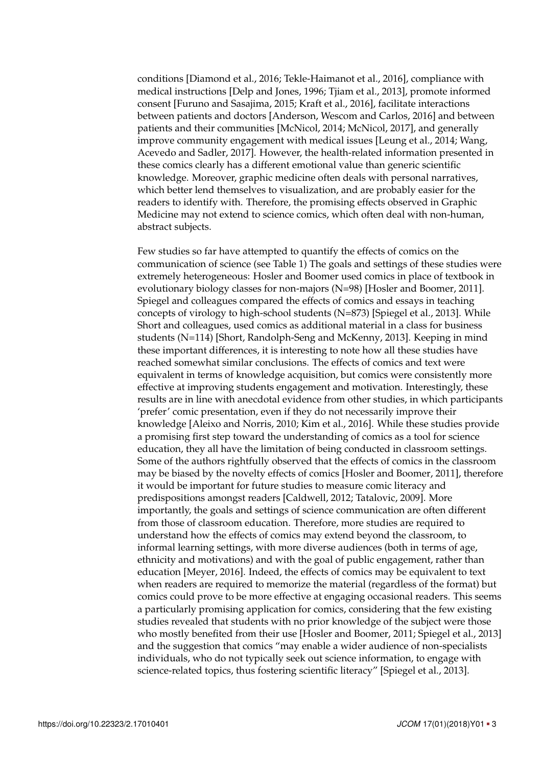conditions [Diamond et al., [2016;](#page-10-5) Tekle-Haimanot et al., [2016\]](#page-15-5), compliance with medical instructions [Delp and Jones, [1996;](#page-10-6) Tjiam et al., [2013\]](#page-15-6), promote informed consent [Furuno and Sasajima, [2015;](#page-10-7) Kraft et al., [2016\]](#page-12-5), facilitate interactions between patients and doctors [Anderson, Wescom and Carlos, [2016\]](#page-9-2) and between patients and their communities [McNicol, [2014;](#page-13-6) McNicol, [2017\]](#page-13-7), and generally improve community engagement with medical issues [Leung et al., [2014;](#page-12-6) Wang, Acevedo and Sadler, [2017\]](#page-15-7). However, the health-related information presented in these comics clearly has a different emotional value than generic scientific knowledge. Moreover, graphic medicine often deals with personal narratives, which better lend themselves to visualization, and are probably easier for the readers to identify with. Therefore, the promising effects observed in Graphic Medicine may not extend to science comics, which often deal with non-human, abstract subjects.

Few studies so far have attempted to quantify the effects of comics on the communication of science (see Table [1\)](#page-4-0) The goals and settings of these studies were extremely heterogeneous: Hosler and Boomer used comics in place of textbook in evolutionary biology classes for non-majors (N=98) [Hosler and Boomer, [2011\]](#page-11-0). Spiegel and colleagues compared the effects of comics and essays in teaching concepts of virology to high-school students (N=873) [Spiegel et al., [2013\]](#page-14-2). While Short and colleagues, used comics as additional material in a class for business students (N=114) [Short, Randolph-Seng and McKenny, [2013\]](#page-14-1). Keeping in mind these important differences, it is interesting to note how all these studies have reached somewhat similar conclusions. The effects of comics and text were equivalent in terms of knowledge acquisition, but comics were consistently more effective at improving students engagement and motivation. Interestingly, these results are in line with anecdotal evidence from other studies, in which participants 'prefer' comic presentation, even if they do not necessarily improve their knowledge [Aleixo and Norris, [2010;](#page-9-0) Kim et al., [2016\]](#page-12-4). While these studies provide a promising first step toward the understanding of comics as a tool for science education, they all have the limitation of being conducted in classroom settings. Some of the authors rightfully observed that the effects of comics in the classroom may be biased by the novelty effects of comics [Hosler and Boomer, [2011\]](#page-11-0), therefore it would be important for future studies to measure comic literacy and predispositions amongst readers [Caldwell, [2012;](#page-9-3) Tatalovic, [2009\]](#page-15-2). More importantly, the goals and settings of science communication are often different from those of classroom education. Therefore, more studies are required to understand how the effects of comics may extend beyond the classroom, to informal learning settings, with more diverse audiences (both in terms of age, ethnicity and motivations) and with the goal of public engagement, rather than education [Meyer, [2016\]](#page-13-8). Indeed, the effects of comics may be equivalent to text when readers are required to memorize the material (regardless of the format) but comics could prove to be more effective at engaging occasional readers. This seems a particularly promising application for comics, considering that the few existing studies revealed that students with no prior knowledge of the subject were those who mostly benefited from their use [Hosler and Boomer, [2011;](#page-11-0) Spiegel et al., [2013\]](#page-14-2) and the suggestion that comics "may enable a wider audience of non-specialists individuals, who do not typically seek out science information, to engage with science-related topics, thus fostering scientific literacy" [Spiegel et al., [2013\]](#page-14-2).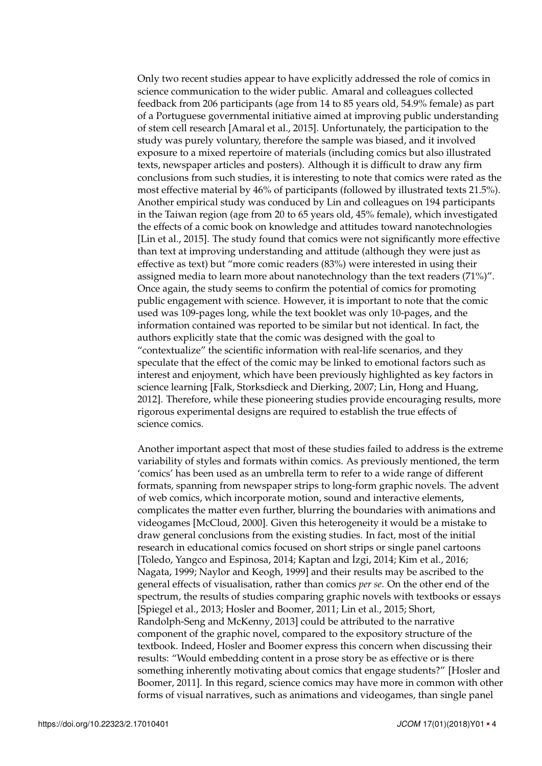Only two recent studies appear to have explicitly addressed the role of comics in science communication to the wider public. Amaral and colleagues collected feedback from 206 participants (age from 14 to 85 years old, 54.9% female) as part of a Portuguese governmental initiative aimed at improving public understanding of stem cell research [Amaral et al., [2015\]](#page-9-4). Unfortunately, the participation to the study was purely voluntary, therefore the sample was biased, and it involved exposure to a mixed repertoire of materials (including comics but also illustrated texts, newspaper articles and posters). Although it is difficult to draw any firm conclusions from such studies, it is interesting to note that comics were rated as the most effective material by 46% of participants (followed by illustrated texts 21.5%). Another empirical study was conduced by Lin and colleagues on 194 participants in the Taiwan region (age from 20 to 65 years old, 45% female), which investigated the effects of a comic book on knowledge and attitudes toward nanotechnologies [Lin et al., [2015\]](#page-13-9). The study found that comics were not significantly more effective than text at improving understanding and attitude (although they were just as effective as text) but "more comic readers (83%) were interested in using their assigned media to learn more about nanotechnology than the text readers (71%)". Once again, the study seems to confirm the potential of comics for promoting public engagement with science. However, it is important to note that the comic used was 109-pages long, while the text booklet was only 10-pages, and the information contained was reported to be similar but not identical. In fact, the authors explicitly state that the comic was designed with the goal to "contextualize" the scientific information with real-life scenarios, and they speculate that the effect of the comic may be linked to emotional factors such as interest and enjoyment, which have been previously highlighted as key factors in science learning [Falk, Storksdieck and Dierking, [2007;](#page-10-8) Lin, Hong and Huang, [2012\]](#page-12-7). Therefore, while these pioneering studies provide encouraging results, more rigorous experimental designs are required to establish the true effects of science comics.

Another important aspect that most of these studies failed to address is the extreme variability of styles and formats within comics. As previously mentioned, the term 'comics' has been used as an umbrella term to refer to a wide range of different formats, spanning from newspaper strips to long-form graphic novels. The advent of web comics, which incorporate motion, sound and interactive elements, complicates the matter even further, blurring the boundaries with animations and videogames [McCloud, [2000\]](#page-13-10). Given this heterogeneity it would be a mistake to draw general conclusions from the existing studies. In fact, most of the initial research in educational comics focused on short strips or single panel cartoons [Toledo, Yangco and Espinosa, [2014;](#page-15-4) Kaptan and ˙Izgi, [2014;](#page-12-2) Kim et al., [2016;](#page-12-4) Nagata, [1999;](#page-13-4) Naylor and Keogh, [1999\]](#page-13-5) and their results may be ascribed to the general effects of visualisation, rather than comics *per se*. On the other end of the spectrum, the results of studies comparing graphic novels with textbooks or essays [Spiegel et al., [2013;](#page-14-2) Hosler and Boomer, [2011;](#page-11-0) Lin et al., [2015;](#page-13-9) Short, Randolph-Seng and McKenny, [2013\]](#page-14-1) could be attributed to the narrative component of the graphic novel, compared to the expository structure of the textbook. Indeed, Hosler and Boomer express this concern when discussing their results: "Would embedding content in a prose story be as effective or is there something inherently motivating about comics that engage students?" [Hosler and Boomer, [2011\]](#page-11-0). In this regard, science comics may have more in common with other forms of visual narratives, such as animations and videogames, than single panel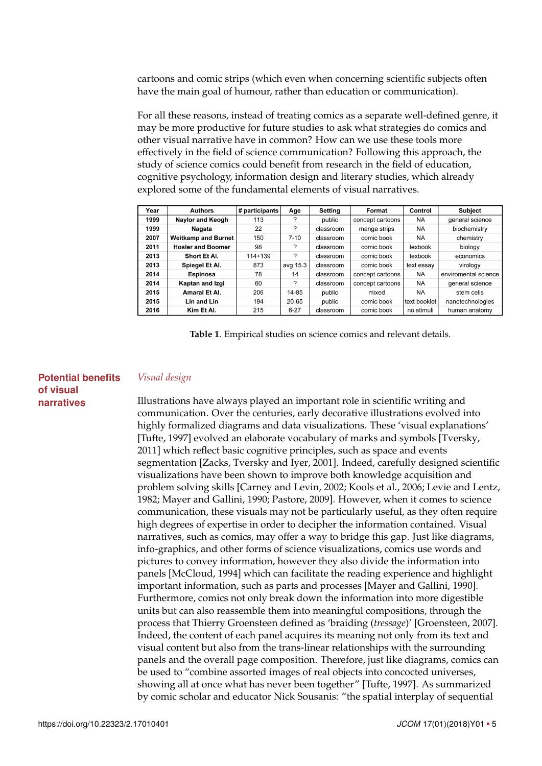cartoons and comic strips (which even when concerning scientific subjects often have the main goal of humour, rather than education or communication).

For all these reasons, instead of treating comics as a separate well-defined genre, it may be more productive for future studies to ask what strategies do comics and other visual narrative have in common? How can we use these tools more effectively in the field of science communication? Following this approach, the study of science comics could benefit from research in the field of education, cognitive psychology, information design and literary studies, which already explored some of the fundamental elements of visual narratives.

| Year | <b>Authors</b>             | # participants | Age      | Setting   | Format           | Control      | <b>Subject</b>       |
|------|----------------------------|----------------|----------|-----------|------------------|--------------|----------------------|
| 1999 | <b>Naylor and Keogh</b>    | 113            | ?        | public    | concept cartoons | <b>NA</b>    | general science      |
| 1999 | Nagata                     | 22             | ?        | classroom | manga strips     | <b>NA</b>    | biochemistry         |
| 2007 | <b>Weitkamp and Burnet</b> | 150            | $7 - 10$ | classroom | comic book       | <b>NA</b>    | chemistry            |
| 2011 | <b>Hosler and Boomer</b>   | 98             | ?        | classroom | comic book       | texbook      | biology              |
| 2013 | Short Et Al.               | $114 + 139$    | ?        | classroom | comic book       | texbook      | economics            |
| 2013 | Spiegel Et Al.             | 873            | avg 15.3 | classroom | comic book       | text essay   | virology             |
| 2014 | Espinosa                   | 78             | 14       | classroom | concept cartoons | <b>NA</b>    | enviromental science |
| 2014 | Kaptan and Izgi            | 60             | ?        | classroom | concept cartoons | <b>NA</b>    | general science      |
| 2015 | Amaral Et Al.              | 206            | 14-85    | public    | mixed            | <b>NA</b>    | stem cells           |
| 2015 | Lin and Lin                | 194            | 20-65    | public    | comic book       | text booklet | nanotechnologies     |
| 2016 | Kim Et Al.                 | 215            | $6 - 27$ | classroom | comic book       | no stimuli   | human anatomy        |

<span id="page-4-0"></span>**Table 1**. Empirical studies on science comics and relevant details.

### **Potential benefits of visual narratives**

### *Visual design*

Illustrations have always played an important role in scientific writing and communication. Over the centuries, early decorative illustrations evolved into highly formalized diagrams and data visualizations. These 'visual explanations' [Tufte, [1997\]](#page-15-8) evolved an elaborate vocabulary of marks and symbols [Tversky, [2011\]](#page-15-9) which reflect basic cognitive principles, such as space and events segmentation [Zacks, Tversky and Iyer, [2001\]](#page-16-0). Indeed, carefully designed scientific visualizations have been shown to improve both knowledge acquisition and problem solving skills [Carney and Levin, [2002;](#page-9-5) Kools et al., [2006;](#page-12-8) Levie and Lentz, [1982;](#page-12-9) Mayer and Gallini, [1990;](#page-13-2) Pastore, [2009\]](#page-14-9). However, when it comes to science communication, these visuals may not be particularly useful, as they often require high degrees of expertise in order to decipher the information contained. Visual narratives, such as comics, may offer a way to bridge this gap. Just like diagrams, info-graphics, and other forms of science visualizations, comics use words and pictures to convey information, however they also divide the information into panels [McCloud, [1994\]](#page-13-1) which can facilitate the reading experience and highlight important information, such as parts and processes [Mayer and Gallini, [1990\]](#page-13-2). Furthermore, comics not only break down the information into more digestible units but can also reassemble them into meaningful compositions, through the process that Thierry Groensteen defined as 'braiding (*tressage*)' [Groensteen, [2007\]](#page-11-1). Indeed, the content of each panel acquires its meaning not only from its text and visual content but also from the trans-linear relationships with the surrounding panels and the overall page composition. Therefore, just like diagrams, comics can be used to "combine assorted images of real objects into concocted universes, showing all at once what has never been together" [Tufte, [1997\]](#page-15-8). As summarized by comic scholar and educator Nick Sousanis: "the spatial interplay of sequential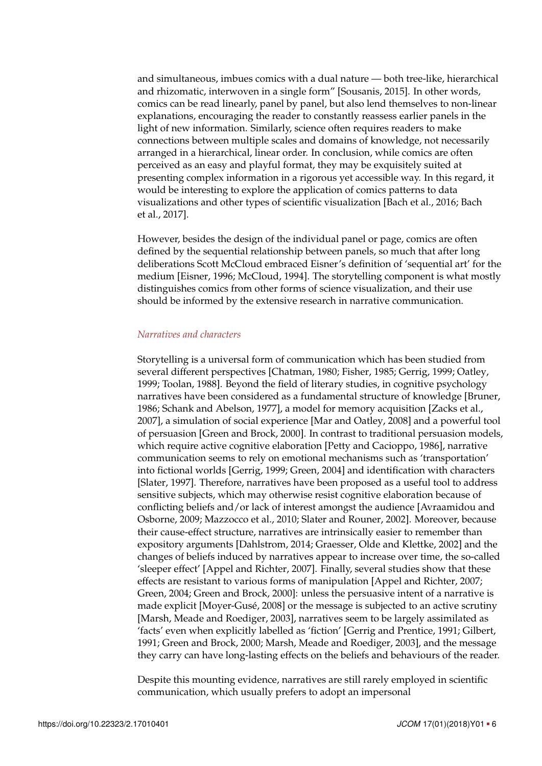and simultaneous, imbues comics with a dual nature — both tree-like, hierarchical and rhizomatic, interwoven in a single form" [Sousanis, [2015\]](#page-14-0). In other words, comics can be read linearly, panel by panel, but also lend themselves to non-linear explanations, encouraging the reader to constantly reassess earlier panels in the light of new information. Similarly, science often requires readers to make connections between multiple scales and domains of knowledge, not necessarily arranged in a hierarchical, linear order. In conclusion, while comics are often perceived as an easy and playful format, they may be exquisitely suited at presenting complex information in a rigorous yet accessible way. In this regard, it would be interesting to explore the application of comics patterns to data visualizations and other types of scientific visualization [Bach et al., [2016;](#page-9-6) Bach et al., [2017\]](#page-9-7).

However, besides the design of the individual panel or page, comics are often defined by the sequential relationship between panels, so much that after long deliberations Scott McCloud embraced Eisner's definition of 'sequential art' for the medium [Eisner, [1996;](#page-10-0) McCloud, [1994\]](#page-13-1). The storytelling component is what mostly distinguishes comics from other forms of science visualization, and their use should be informed by the extensive research in narrative communication.

### *Narratives and characters*

Storytelling is a universal form of communication which has been studied from several different perspectives [Chatman, [1980;](#page-9-8) Fisher, [1985;](#page-10-9) Gerrig, [1999;](#page-11-3) Oatley, [1999;](#page-14-10) Toolan, [1988\]](#page-15-10). Beyond the field of literary studies, in cognitive psychology narratives have been considered as a fundamental structure of knowledge [Bruner, [1986;](#page-9-9) Schank and Abelson, [1977\]](#page-14-11), a model for memory acquisition [Zacks et al., [2007\]](#page-16-1), a simulation of social experience [Mar and Oatley, [2008\]](#page-13-11) and a powerful tool of persuasion [Green and Brock, [2000\]](#page-11-4). In contrast to traditional persuasion models, which require active cognitive elaboration [Petty and Cacioppo, [1986\]](#page-14-12), narrative communication seems to rely on emotional mechanisms such as 'transportation' into fictional worlds [Gerrig, [1999;](#page-11-3) Green, [2004\]](#page-11-5) and identification with characters [Slater, [1997\]](#page-14-13). Therefore, narratives have been proposed as a useful tool to address sensitive subjects, which may otherwise resist cognitive elaboration because of conflicting beliefs and/or lack of interest amongst the audience [Avraamidou and Osborne, [2009;](#page-9-10) Mazzocco et al., [2010;](#page-13-12) Slater and Rouner, [2002\]](#page-14-14). Moreover, because their cause-effect structure, narratives are intrinsically easier to remember than expository arguments [Dahlstrom, [2014;](#page-10-10) Graesser, Olde and Klettke, [2002\]](#page-11-6) and the changes of beliefs induced by narratives appear to increase over time, the so-called 'sleeper effect' [Appel and Richter, [2007\]](#page-9-11). Finally, several studies show that these effects are resistant to various forms of manipulation [Appel and Richter, [2007;](#page-9-11) Green, [2004;](#page-11-5) Green and Brock, [2000\]](#page-11-4): unless the persuasive intent of a narrative is made explicit [Moyer-Gusé, [2008\]](#page-13-13) or the message is subjected to an active scrutiny [Marsh, Meade and Roediger, [2003\]](#page-13-14), narratives seem to be largely assimilated as 'facts' even when explicitly labelled as 'fiction' [Gerrig and Prentice, [1991;](#page-11-7) Gilbert, [1991;](#page-11-8) Green and Brock, [2000;](#page-11-4) Marsh, Meade and Roediger, [2003\]](#page-13-14), and the message they carry can have long-lasting effects on the beliefs and behaviours of the reader.

Despite this mounting evidence, narratives are still rarely employed in scientific communication, which usually prefers to adopt an impersonal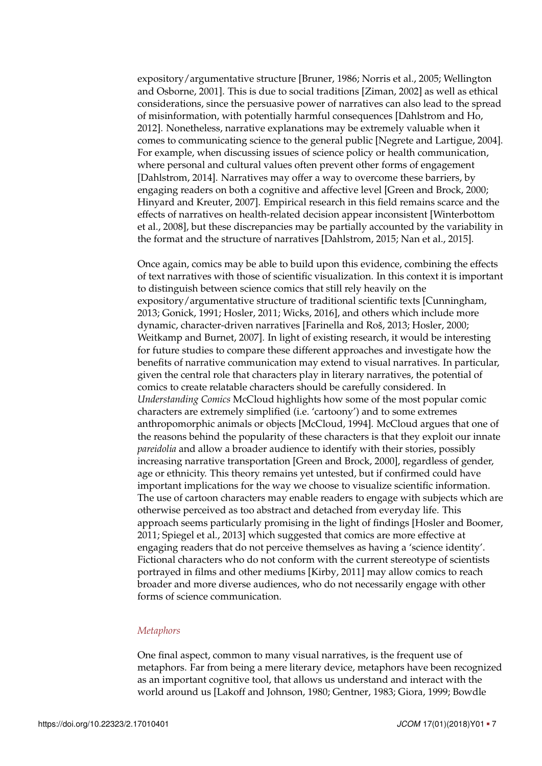expository/argumentative structure [Bruner, [1986;](#page-9-9) Norris et al., [2005;](#page-14-15) Wellington and Osborne, [2001\]](#page-15-11). This is due to social traditions [Ziman, [2002\]](#page-16-2) as well as ethical considerations, since the persuasive power of narratives can also lead to the spread of misinformation, with potentially harmful consequences [Dahlstrom and Ho, [2012\]](#page-10-11). Nonetheless, narrative explanations may be extremely valuable when it comes to communicating science to the general public [Negrete and Lartigue, [2004\]](#page-14-16). For example, when discussing issues of science policy or health communication, where personal and cultural values often prevent other forms of engagement [Dahlstrom, [2014\]](#page-10-10). Narratives may offer a way to overcome these barriers, by engaging readers on both a cognitive and affective level [Green and Brock, [2000;](#page-11-4) Hinyard and Kreuter, [2007\]](#page-11-9). Empirical research in this field remains scarce and the effects of narratives on health-related decision appear inconsistent [Winterbottom et al., [2008\]](#page-15-12), but these discrepancies may be partially accounted by the variability in the format and the structure of narratives [Dahlstrom, [2015;](#page-10-12) Nan et al., [2015\]](#page-13-15).

Once again, comics may be able to build upon this evidence, combining the effects of text narratives with those of scientific visualization. In this context it is important to distinguish between science comics that still rely heavily on the expository/argumentative structure of traditional scientific texts [Cunningham, [2013;](#page-10-13) Gonick, [1991;](#page-11-10) Hosler, [2011;](#page-11-11) Wicks, [2016\]](#page-15-13), and others which include more dynamic, character-driven narratives [Farinella and Roš, [2013;](#page-10-14) Hosler, [2000;](#page-11-12) Weitkamp and Burnet, [2007\]](#page-15-0). In light of existing research, it would be interesting for future studies to compare these different approaches and investigate how the benefits of narrative communication may extend to visual narratives. In particular, given the central role that characters play in literary narratives, the potential of comics to create relatable characters should be carefully considered. In *Understanding Comics* McCloud highlights how some of the most popular comic characters are extremely simplified (i.e. 'cartoony') and to some extremes anthropomorphic animals or objects [McCloud, [1994\]](#page-13-1). McCloud argues that one of the reasons behind the popularity of these characters is that they exploit our innate *pareidolia* and allow a broader audience to identify with their stories, possibly increasing narrative transportation [Green and Brock, [2000\]](#page-11-4), regardless of gender, age or ethnicity. This theory remains yet untested, but if confirmed could have important implications for the way we choose to visualize scientific information. The use of cartoon characters may enable readers to engage with subjects which are otherwise perceived as too abstract and detached from everyday life. This approach seems particularly promising in the light of findings [Hosler and Boomer, [2011;](#page-11-0) Spiegel et al., [2013\]](#page-14-2) which suggested that comics are more effective at engaging readers that do not perceive themselves as having a 'science identity'. Fictional characters who do not conform with the current stereotype of scientists portrayed in films and other mediums [Kirby, [2011\]](#page-12-10) may allow comics to reach broader and more diverse audiences, who do not necessarily engage with other forms of science communication.

### *Metaphors*

One final aspect, common to many visual narratives, is the frequent use of metaphors. Far from being a mere literary device, metaphors have been recognized as an important cognitive tool, that allows us understand and interact with the world around us [Lakoff and Johnson, [1980;](#page-12-11) Gentner, [1983;](#page-11-13) Giora, [1999;](#page-11-14) Bowdle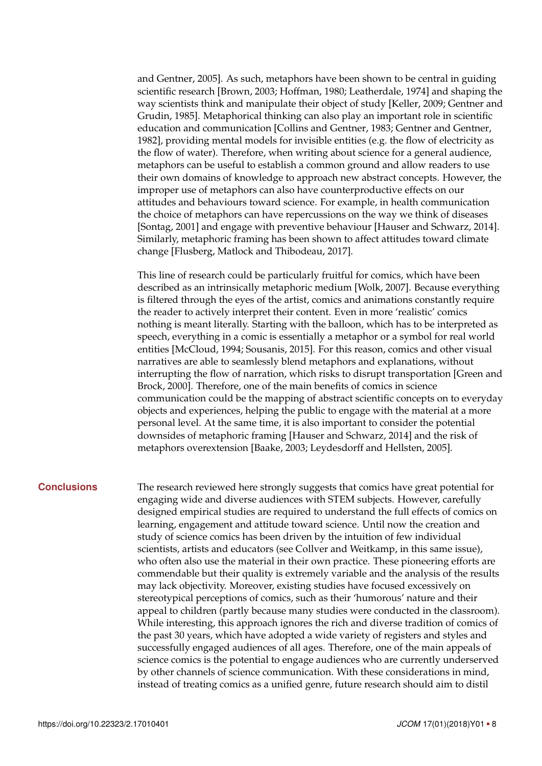and Gentner, [2005\]](#page-9-12). As such, metaphors have been shown to be central in guiding scientific research [Brown, [2003;](#page-9-13) Hoffman, [1980;](#page-11-15) Leatherdale, [1974\]](#page-12-12) and shaping the way scientists think and manipulate their object of study [Keller, [2009;](#page-12-13) Gentner and Grudin, [1985\]](#page-11-16). Metaphorical thinking can also play an important role in scientific education and communication [Collins and Gentner, [1983;](#page-9-14) Gentner and Gentner, [1982\]](#page-11-17), providing mental models for invisible entities (e.g. the flow of electricity as the flow of water). Therefore, when writing about science for a general audience, metaphors can be useful to establish a common ground and allow readers to use their own domains of knowledge to approach new abstract concepts. However, the improper use of metaphors can also have counterproductive effects on our attitudes and behaviours toward science. For example, in health communication the choice of metaphors can have repercussions on the way we think of diseases [Sontag, [2001\]](#page-14-17) and engage with preventive behaviour [Hauser and Schwarz, [2014\]](#page-11-18). Similarly, metaphoric framing has been shown to affect attitudes toward climate change [Flusberg, Matlock and Thibodeau, [2017\]](#page-10-15).

This line of research could be particularly fruitful for comics, which have been described as an intrinsically metaphoric medium [Wolk, [2007\]](#page-15-14). Because everything is filtered through the eyes of the artist, comics and animations constantly require the reader to actively interpret their content. Even in more 'realistic' comics nothing is meant literally. Starting with the balloon, which has to be interpreted as speech, everything in a comic is essentially a metaphor or a symbol for real world entities [McCloud, [1994;](#page-13-1) Sousanis, [2015\]](#page-14-0). For this reason, comics and other visual narratives are able to seamlessly blend metaphors and explanations, without interrupting the flow of narration, which risks to disrupt transportation [Green and Brock, [2000\]](#page-11-4). Therefore, one of the main benefits of comics in science communication could be the mapping of abstract scientific concepts on to everyday objects and experiences, helping the public to engage with the material at a more personal level. At the same time, it is also important to consider the potential downsides of metaphoric framing [Hauser and Schwarz, [2014\]](#page-11-18) and the risk of metaphors overextension [Baake, [2003;](#page-9-15) Leydesdorff and Hellsten, [2005\]](#page-12-14).

**Conclusions** The research reviewed here strongly suggests that comics have great potential for engaging wide and diverse audiences with STEM subjects. However, carefully designed empirical studies are required to understand the full effects of comics on learning, engagement and attitude toward science. Until now the creation and study of science comics has been driven by the intuition of few individual scientists, artists and educators (see Collver and Weitkamp, in this same issue), who often also use the material in their own practice. These pioneering efforts are commendable but their quality is extremely variable and the analysis of the results may lack objectivity. Moreover, existing studies have focused excessively on stereotypical perceptions of comics, such as their 'humorous' nature and their appeal to children (partly because many studies were conducted in the classroom). While interesting, this approach ignores the rich and diverse tradition of comics of the past 30 years, which have adopted a wide variety of registers and styles and successfully engaged audiences of all ages. Therefore, one of the main appeals of science comics is the potential to engage audiences who are currently underserved by other channels of science communication. With these considerations in mind, instead of treating comics as a unified genre, future research should aim to distil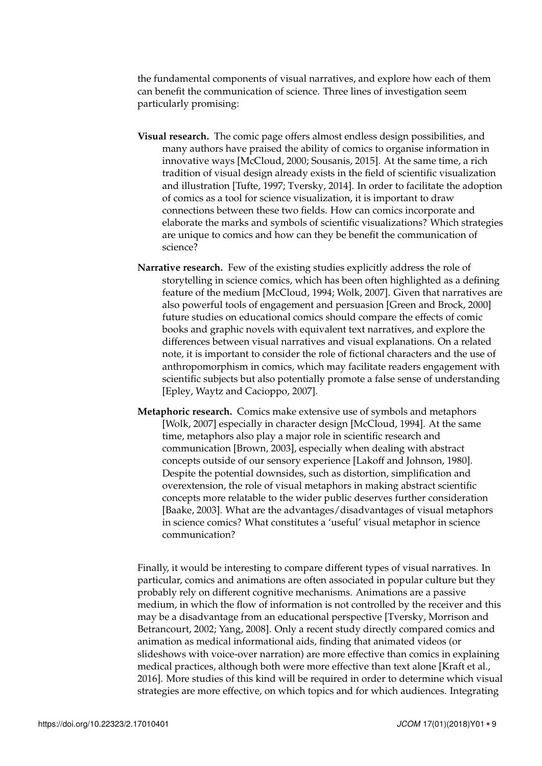the fundamental components of visual narratives, and explore how each of them can benefit the communication of science. Three lines of investigation seem particularly promising:

- **Visual research.** The comic page offers almost endless design possibilities, and many authors have praised the ability of comics to organise information in innovative ways [McCloud, [2000;](#page-13-10) Sousanis, [2015\]](#page-14-0). At the same time, a rich tradition of visual design already exists in the field of scientific visualization and illustration [Tufte, [1997;](#page-15-8) Tversky, [2014\]](#page-15-15). In order to facilitate the adoption of comics as a tool for science visualization, it is important to draw connections between these two fields. How can comics incorporate and elaborate the marks and symbols of scientific visualizations? Which strategies are unique to comics and how can they be benefit the communication of science?
- **Narrative research.** Few of the existing studies explicitly address the role of storytelling in science comics, which has been often highlighted as a defining feature of the medium [McCloud, [1994;](#page-13-1) Wolk, [2007\]](#page-15-14). Given that narratives are also powerful tools of engagement and persuasion [Green and Brock, [2000\]](#page-11-4) future studies on educational comics should compare the effects of comic books and graphic novels with equivalent text narratives, and explore the differences between visual narratives and visual explanations. On a related note, it is important to consider the role of fictional characters and the use of anthropomorphism in comics, which may facilitate readers engagement with scientific subjects but also potentially promote a false sense of understanding [Epley, Waytz and Cacioppo, [2007\]](#page-10-16).
- **Metaphoric research.** Comics make extensive use of symbols and metaphors [Wolk, [2007\]](#page-15-14) especially in character design [McCloud, [1994\]](#page-13-1). At the same time, metaphors also play a major role in scientific research and communication [Brown, [2003\]](#page-9-13), especially when dealing with abstract concepts outside of our sensory experience [Lakoff and Johnson, [1980\]](#page-12-11). Despite the potential downsides, such as distortion, simplification and overextension, the role of visual metaphors in making abstract scientific concepts more relatable to the wider public deserves further consideration [Baake, [2003\]](#page-9-15). What are the advantages/disadvantages of visual metaphors in science comics? What constitutes a 'useful' visual metaphor in science communication?

Finally, it would be interesting to compare different types of visual narratives. In particular, comics and animations are often associated in popular culture but they probably rely on different cognitive mechanisms. Animations are a passive medium, in which the flow of information is not controlled by the receiver and this may be a disadvantage from an educational perspective [Tversky, Morrison and Betrancourt, [2002;](#page-15-16) Yang, [2008\]](#page-15-17). Only a recent study directly compared comics and animation as medical informational aids, finding that animated videos (or slideshows with voice-over narration) are more effective than comics in explaining medical practices, although both were more effective than text alone [Kraft et al., [2016\]](#page-12-5). More studies of this kind will be required in order to determine which visual strategies are more effective, on which topics and for which audiences. Integrating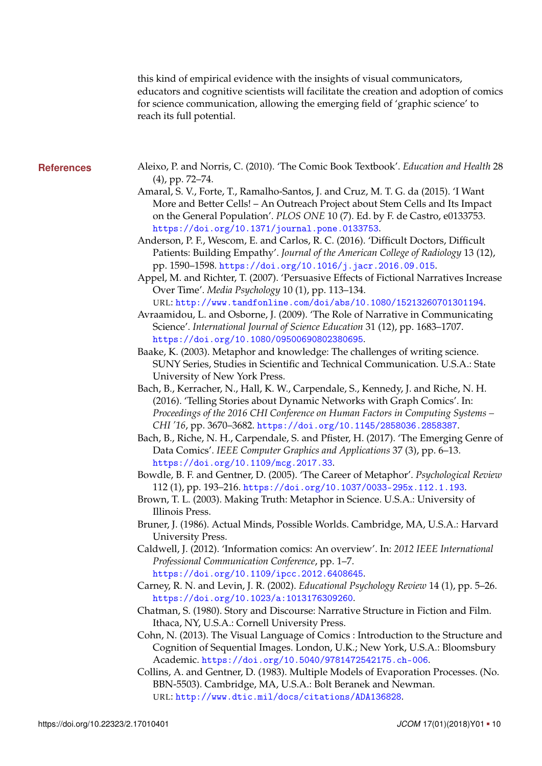<span id="page-9-0"></span>this kind of empirical evidence with the insights of visual communicators, educators and cognitive scientists will facilitate the creation and adoption of comics for science communication, allowing the emerging field of 'graphic science' to reach its full potential.

- <span id="page-9-15"></span><span id="page-9-14"></span><span id="page-9-13"></span><span id="page-9-12"></span><span id="page-9-11"></span><span id="page-9-10"></span><span id="page-9-9"></span><span id="page-9-8"></span><span id="page-9-7"></span><span id="page-9-6"></span><span id="page-9-5"></span><span id="page-9-4"></span><span id="page-9-3"></span><span id="page-9-2"></span><span id="page-9-1"></span>**References** Aleixo, P. and Norris, C. (2010). 'The Comic Book Textbook'. *Education and Health* 28 (4), pp. 72–74.
	- Amaral, S. V., Forte, T., Ramalho-Santos, J. and Cruz, M. T. G. da (2015). 'I Want More and Better Cells! – An Outreach Project about Stem Cells and Its Impact on the General Population'. *PLOS ONE* 10 (7). Ed. by F. de Castro, e0133753. <https://doi.org/10.1371/journal.pone.0133753>.
	- Anderson, P. F., Wescom, E. and Carlos, R. C. (2016). 'Difficult Doctors, Difficult Patients: Building Empathy'. *Journal of the American College of Radiology* 13 (12), pp. 1590–1598. <https://doi.org/10.1016/j.jacr.2016.09.015>.
	- Appel, M. and Richter, T. (2007). 'Persuasive Effects of Fictional Narratives Increase Over Time'. *Media Psychology* 10 (1), pp. 113–134. URL: <http://www.tandfonline.com/doi/abs/10.1080/15213260701301194>.
	- Avraamidou, L. and Osborne, J. (2009). 'The Role of Narrative in Communicating Science'. *International Journal of Science Education* 31 (12), pp. 1683–1707. <https://doi.org/10.1080/09500690802380695>.
	- Baake, K. (2003). Metaphor and knowledge: The challenges of writing science. SUNY Series, Studies in Scientific and Technical Communication. U.S.A.: State University of New York Press.
	- Bach, B., Kerracher, N., Hall, K. W., Carpendale, S., Kennedy, J. and Riche, N. H. (2016). 'Telling Stories about Dynamic Networks with Graph Comics'. In: *Proceedings of the 2016 CHI Conference on Human Factors in Computing Systems – CHI '16*, pp. 3670–3682. <https://doi.org/10.1145/2858036.2858387>.
	- Bach, B., Riche, N. H., Carpendale, S. and Pfister, H. (2017). 'The Emerging Genre of Data Comics'. *IEEE Computer Graphics and Applications* 37 (3), pp. 6–13. <https://doi.org/10.1109/mcg.2017.33>.
	- Bowdle, B. F. and Gentner, D. (2005). 'The Career of Metaphor'. *Psychological Review* 112 (1), pp. 193–216. <https://doi.org/10.1037/0033-295x.112.1.193>.
	- Brown, T. L. (2003). Making Truth: Metaphor in Science. U.S.A.: University of Illinois Press.
	- Bruner, J. (1986). Actual Minds, Possible Worlds. Cambridge, MA, U.S.A.: Harvard University Press.
	- Caldwell, J. (2012). 'Information comics: An overview'. In: *2012 IEEE International Professional Communication Conference*, pp. 1–7. <https://doi.org/10.1109/ipcc.2012.6408645>.
	- Carney, R. N. and Levin, J. R. (2002). *Educational Psychology Review* 14 (1), pp. 5–26. <https://doi.org/10.1023/a:1013176309260>.
	- Chatman, S. (1980). Story and Discourse: Narrative Structure in Fiction and Film. Ithaca, NY, U.S.A.: Cornell University Press.
	- Cohn, N. (2013). The Visual Language of Comics : Introduction to the Structure and Cognition of Sequential Images. London, U.K.; New York, U.S.A.: Bloomsbury Academic. <https://doi.org/10.5040/9781472542175.ch-006>.
	- Collins, A. and Gentner, D. (1983). Multiple Models of Evaporation Processes. (No. BBN-5503). Cambridge, MA, U.S.A.: Bolt Beranek and Newman. URL: <http://www.dtic.mil/docs/citations/ADA136828>.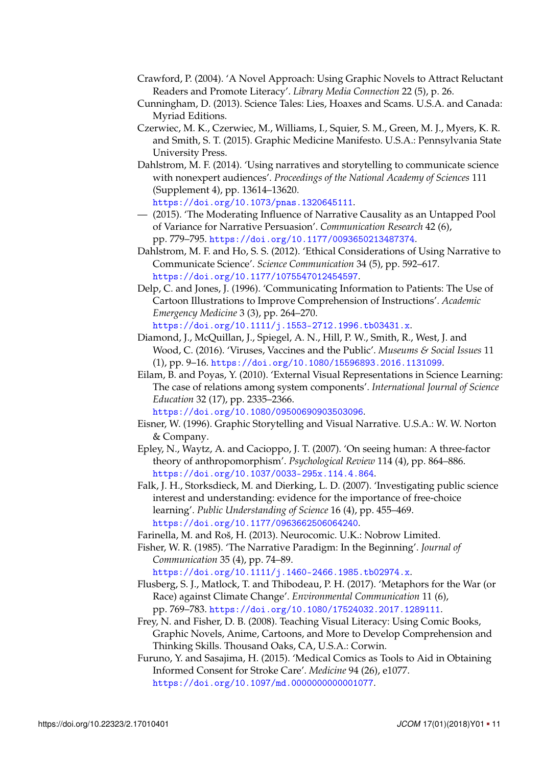- <span id="page-10-2"></span>Crawford, P. (2004). 'A Novel Approach: Using Graphic Novels to Attract Reluctant Readers and Promote Literacy'. *Library Media Connection* 22 (5), p. 26.
- <span id="page-10-13"></span>Cunningham, D. (2013). Science Tales: Lies, Hoaxes and Scams. U.S.A. and Canada: Myriad Editions.
- <span id="page-10-4"></span>Czerwiec, M. K., Czerwiec, M., Williams, I., Squier, S. M., Green, M. J., Myers, K. R. and Smith, S. T. (2015). Graphic Medicine Manifesto. U.S.A.: Pennsylvania State University Press.
- <span id="page-10-10"></span>Dahlstrom, M. F. (2014). 'Using narratives and storytelling to communicate science with nonexpert audiences'. *Proceedings of the National Academy of Sciences* 111 (Supplement 4), pp. 13614–13620. <https://doi.org/10.1073/pnas.1320645111>.
- <span id="page-10-12"></span>— (2015). 'The Moderating Influence of Narrative Causality as an Untapped Pool of Variance for Narrative Persuasion'. *Communication Research* 42 (6), pp. 779–795. <https://doi.org/10.1177/0093650213487374>.
- <span id="page-10-11"></span>Dahlstrom, M. F. and Ho, S. S. (2012). 'Ethical Considerations of Using Narrative to Communicate Science'. *Science Communication* 34 (5), pp. 592–617. <https://doi.org/10.1177/1075547012454597>.
- <span id="page-10-6"></span>Delp, C. and Jones, J. (1996). 'Communicating Information to Patients: The Use of Cartoon Illustrations to Improve Comprehension of Instructions'. *Academic Emergency Medicine* 3 (3), pp. 264–270. <https://doi.org/10.1111/j.1553-2712.1996.tb03431.x>.
- <span id="page-10-5"></span>Diamond, J., McQuillan, J., Spiegel, A. N., Hill, P. W., Smith, R., West, J. and Wood, C. (2016). 'Viruses, Vaccines and the Public'. *Museums & Social Issues* 11 (1), pp. 9–16. <https://doi.org/10.1080/15596893.2016.1131099>.
- <span id="page-10-1"></span>Eilam, B. and Poyas, Y. (2010). 'External Visual Representations in Science Learning: The case of relations among system components'. *International Journal of Science Education* 32 (17), pp. 2335–2366.

<https://doi.org/10.1080/09500690903503096>.

- <span id="page-10-0"></span>Eisner, W. (1996). Graphic Storytelling and Visual Narrative. U.S.A.: W. W. Norton & Company.
- <span id="page-10-16"></span>Epley, N., Waytz, A. and Cacioppo, J. T. (2007). 'On seeing human: A three-factor theory of anthropomorphism'. *Psychological Review* 114 (4), pp. 864–886. <https://doi.org/10.1037/0033-295x.114.4.864>.
- <span id="page-10-8"></span>Falk, J. H., Storksdieck, M. and Dierking, L. D. (2007). 'Investigating public science interest and understanding: evidence for the importance of free-choice learning'. *Public Understanding of Science* 16 (4), pp. 455–469. <https://doi.org/10.1177/0963662506064240>.
- <span id="page-10-14"></span>Farinella, M. and Roš, H. (2013). Neurocomic. U.K.: Nobrow Limited.
- <span id="page-10-9"></span>Fisher, W. R. (1985). 'The Narrative Paradigm: In the Beginning'. *Journal of Communication* 35 (4), pp. 74–89.

<https://doi.org/10.1111/j.1460-2466.1985.tb02974.x>.

- <span id="page-10-15"></span>Flusberg, S. J., Matlock, T. and Thibodeau, P. H. (2017). 'Metaphors for the War (or Race) against Climate Change'. *Environmental Communication* 11 (6), pp. 769–783. <https://doi.org/10.1080/17524032.2017.1289111>.
- <span id="page-10-3"></span>Frey, N. and Fisher, D. B. (2008). Teaching Visual Literacy: Using Comic Books, Graphic Novels, Anime, Cartoons, and More to Develop Comprehension and Thinking Skills. Thousand Oaks, CA, U.S.A.: Corwin.
- <span id="page-10-7"></span>Furuno, Y. and Sasajima, H. (2015). 'Medical Comics as Tools to Aid in Obtaining Informed Consent for Stroke Care'. *Medicine* 94 (26), e1077. <https://doi.org/10.1097/md.0000000000001077>.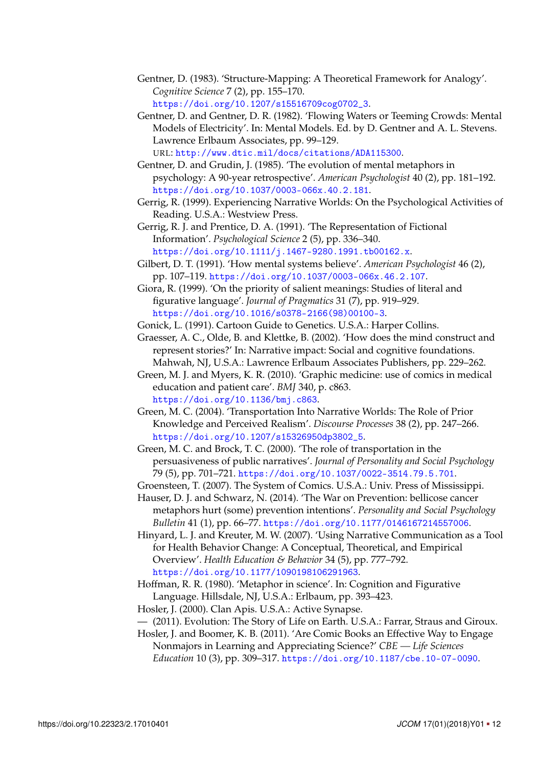- <span id="page-11-13"></span>Gentner, D. (1983). 'Structure-Mapping: A Theoretical Framework for Analogy'. *Cognitive Science* 7 (2), pp. 155–170. [https://doi.org/10.1207/s15516709cog0702\\_3](https://doi.org/10.1207/s15516709cog0702_3).
- <span id="page-11-17"></span>Gentner, D. and Gentner, D. R. (1982). 'Flowing Waters or Teeming Crowds: Mental Models of Electricity'. In: Mental Models. Ed. by D. Gentner and A. L. Stevens. Lawrence Erlbaum Associates, pp. 99–129. URL: <http://www.dtic.mil/docs/citations/ADA115300>.
- <span id="page-11-16"></span>Gentner, D. and Grudin, J. (1985). 'The evolution of mental metaphors in psychology: A 90-year retrospective'. *American Psychologist* 40 (2), pp. 181–192. <https://doi.org/10.1037/0003-066x.40.2.181>.
- <span id="page-11-3"></span>Gerrig, R. (1999). Experiencing Narrative Worlds: On the Psychological Activities of Reading. U.S.A.: Westview Press.
- <span id="page-11-7"></span>Gerrig, R. J. and Prentice, D. A. (1991). 'The Representation of Fictional Information'. *Psychological Science* 2 (5), pp. 336–340. <https://doi.org/10.1111/j.1467-9280.1991.tb00162.x>.
- <span id="page-11-8"></span>Gilbert, D. T. (1991). 'How mental systems believe'. *American Psychologist* 46 (2), pp. 107–119. <https://doi.org/10.1037/0003-066x.46.2.107>.
- <span id="page-11-14"></span>Giora, R. (1999). 'On the priority of salient meanings: Studies of literal and figurative language'. *Journal of Pragmatics* 31 (7), pp. 919–929. [https://doi.org/10.1016/s0378-2166\(98\)00100-3](https://doi.org/10.1016/s0378-2166(98)00100-3).
- <span id="page-11-10"></span>Gonick, L. (1991). Cartoon Guide to Genetics. U.S.A.: Harper Collins.
- <span id="page-11-6"></span>Graesser, A. C., Olde, B. and Klettke, B. (2002). 'How does the mind construct and represent stories?' In: Narrative impact: Social and cognitive foundations. Mahwah, NJ, U.S.A.: Lawrence Erlbaum Associates Publishers, pp. 229–262.
- <span id="page-11-2"></span>Green, M. J. and Myers, K. R. (2010). 'Graphic medicine: use of comics in medical education and patient care'. *BMJ* 340, p. c863. <https://doi.org/10.1136/bmj.c863>.
- <span id="page-11-5"></span>Green, M. C. (2004). 'Transportation Into Narrative Worlds: The Role of Prior Knowledge and Perceived Realism'. *Discourse Processes* 38 (2), pp. 247–266. [https://doi.org/10.1207/s15326950dp3802\\_5](https://doi.org/10.1207/s15326950dp3802_5).
- <span id="page-11-4"></span>Green, M. C. and Brock, T. C. (2000). 'The role of transportation in the persuasiveness of public narratives'. *Journal of Personality and Social Psychology* 79 (5), pp. 701–721. <https://doi.org/10.1037/0022-3514.79.5.701>.
- <span id="page-11-1"></span>Groensteen, T. (2007). The System of Comics. U.S.A.: Univ. Press of Mississippi.
- <span id="page-11-18"></span>Hauser, D. J. and Schwarz, N. (2014). 'The War on Prevention: bellicose cancer metaphors hurt (some) prevention intentions'. *Personality and Social Psychology Bulletin* 41 (1), pp. 66–77. <https://doi.org/10.1177/0146167214557006>.
- <span id="page-11-9"></span>Hinyard, L. J. and Kreuter, M. W. (2007). 'Using Narrative Communication as a Tool for Health Behavior Change: A Conceptual, Theoretical, and Empirical Overview'. *Health Education & Behavior* 34 (5), pp. 777–792. <https://doi.org/10.1177/1090198106291963>.
- <span id="page-11-15"></span>Hoffman, R. R. (1980). 'Metaphor in science'. In: Cognition and Figurative Language. Hillsdale, NJ, U.S.A.: Erlbaum, pp. 393–423.
- <span id="page-11-12"></span>Hosler, J. (2000). Clan Apis. U.S.A.: Active Synapse.
- <span id="page-11-11"></span>— (2011). Evolution: The Story of Life on Earth. U.S.A.: Farrar, Straus and Giroux.
- <span id="page-11-0"></span>Hosler, J. and Boomer, K. B. (2011). 'Are Comic Books an Effective Way to Engage Nonmajors in Learning and Appreciating Science?' *CBE — Life Sciences Education* 10 (3), pp. 309–317. <https://doi.org/10.1187/cbe.10-07-0090>.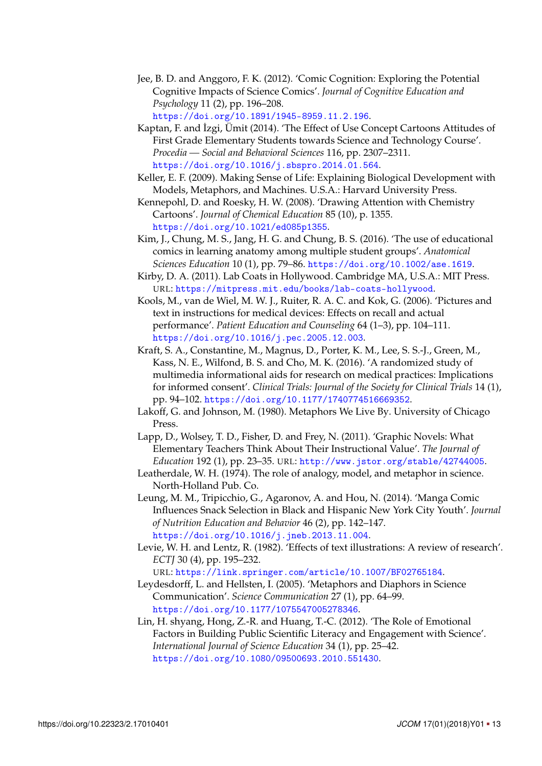- <span id="page-12-0"></span>Jee, B. D. and Anggoro, F. K. (2012). 'Comic Cognition: Exploring the Potential Cognitive Impacts of Science Comics'. *Journal of Cognitive Education and Psychology* 11 (2), pp. 196–208. <https://doi.org/10.1891/1945-8959.11.2.196>.
- <span id="page-12-2"></span>Kaptan, F. and İzgi, Ümit (2014). 'The Effect of Use Concept Cartoons Attitudes of First Grade Elementary Students towards Science and Technology Course'. *Procedia — Social and Behavioral Sciences* 116, pp. 2307–2311. <https://doi.org/10.1016/j.sbspro.2014.01.564>.
- <span id="page-12-13"></span>Keller, E. F. (2009). Making Sense of Life: Explaining Biological Development with Models, Metaphors, and Machines. U.S.A.: Harvard University Press.
- <span id="page-12-3"></span>Kennepohl, D. and Roesky, H. W. (2008). 'Drawing Attention with Chemistry Cartoons'. *Journal of Chemical Education* 85 (10), p. 1355. <https://doi.org/10.1021/ed085p1355>.
- <span id="page-12-4"></span>Kim, J., Chung, M. S., Jang, H. G. and Chung, B. S. (2016). 'The use of educational comics in learning anatomy among multiple student groups'. *Anatomical Sciences Education* 10 (1), pp. 79–86. <https://doi.org/10.1002/ase.1619>.
- <span id="page-12-10"></span>Kirby, D. A. (2011). Lab Coats in Hollywood. Cambridge MA, U.S.A.: MIT Press. URL: <https://mitpress.mit.edu/books/lab-coats-hollywood>.
- <span id="page-12-8"></span>Kools, M., van de Wiel, M. W. J., Ruiter, R. A. C. and Kok, G. (2006). 'Pictures and text in instructions for medical devices: Effects on recall and actual performance'. *Patient Education and Counseling* 64 (1–3), pp. 104–111. <https://doi.org/10.1016/j.pec.2005.12.003>.
- <span id="page-12-5"></span>Kraft, S. A., Constantine, M., Magnus, D., Porter, K. M., Lee, S. S.-J., Green, M., Kass, N. E., Wilfond, B. S. and Cho, M. K. (2016). 'A randomized study of multimedia informational aids for research on medical practices: Implications for informed consent'. *Clinical Trials: Journal of the Society for Clinical Trials* 14 (1), pp. 94–102. <https://doi.org/10.1177/1740774516669352>.
- <span id="page-12-11"></span>Lakoff, G. and Johnson, M. (1980). Metaphors We Live By. University of Chicago Press.
- <span id="page-12-1"></span>Lapp, D., Wolsey, T. D., Fisher, D. and Frey, N. (2011). 'Graphic Novels: What Elementary Teachers Think About Their Instructional Value'. *The Journal of Education* 192 (1), pp. 23–35. URL: <http://www.jstor.org/stable/42744005>.
- <span id="page-12-12"></span>Leatherdale, W. H. (1974). The role of analogy, model, and metaphor in science. North-Holland Pub. Co.
- <span id="page-12-6"></span>Leung, M. M., Tripicchio, G., Agaronov, A. and Hou, N. (2014). 'Manga Comic Influences Snack Selection in Black and Hispanic New York City Youth'. *Journal of Nutrition Education and Behavior* 46 (2), pp. 142–147. <https://doi.org/10.1016/j.jneb.2013.11.004>.
- <span id="page-12-9"></span>Levie, W. H. and Lentz, R. (1982). 'Effects of text illustrations: A review of research'. *ECTJ* 30 (4), pp. 195–232. URL: <https://link.springer.com/article/10.1007/BF02765184>.
- <span id="page-12-14"></span>Leydesdorff, L. and Hellsten, I. (2005). 'Metaphors and Diaphors in Science Communication'. *Science Communication* 27 (1), pp. 64–99. <https://doi.org/10.1177/1075547005278346>.
- <span id="page-12-7"></span>Lin, H. shyang, Hong, Z.-R. and Huang, T.-C. (2012). 'The Role of Emotional Factors in Building Public Scientific Literacy and Engagement with Science'. *International Journal of Science Education* 34 (1), pp. 25–42. <https://doi.org/10.1080/09500693.2010.551430>.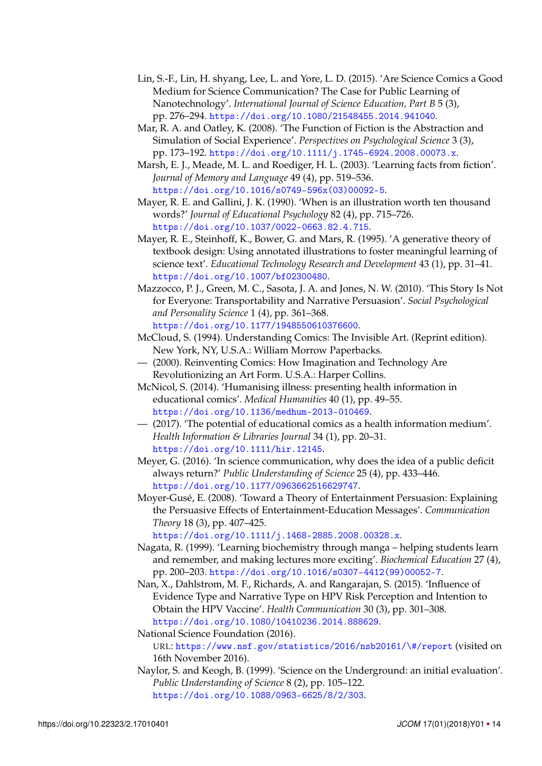- <span id="page-13-9"></span>Lin, S.-F., Lin, H. shyang, Lee, L. and Yore, L. D. (2015). 'Are Science Comics a Good Medium for Science Communication? The Case for Public Learning of Nanotechnology'. *International Journal of Science Education, Part B* 5 (3), pp. 276–294. <https://doi.org/10.1080/21548455.2014.941040>.
- <span id="page-13-11"></span>Mar, R. A. and Oatley, K. (2008). 'The Function of Fiction is the Abstraction and Simulation of Social Experience'. *Perspectives on Psychological Science* 3 (3), pp. 173–192. <https://doi.org/10.1111/j.1745-6924.2008.00073.x>.
- <span id="page-13-14"></span>Marsh, E. J., Meade, M. L. and Roediger, H. L. (2003). 'Learning facts from fiction'. *Journal of Memory and Language* 49 (4), pp. 519–536. [https://doi.org/10.1016/s0749-596x\(03\)00092-5](https://doi.org/10.1016/s0749-596x(03)00092-5).
- <span id="page-13-2"></span>Mayer, R. E. and Gallini, J. K. (1990). 'When is an illustration worth ten thousand words?' *Journal of Educational Psychology* 82 (4), pp. 715–726. <https://doi.org/10.1037/0022-0663.82.4.715>.
- <span id="page-13-3"></span>Mayer, R. E., Steinhoff, K., Bower, G. and Mars, R. (1995). 'A generative theory of textbook design: Using annotated illustrations to foster meaningful learning of science text'. *Educational Technology Research and Development* 43 (1), pp. 31–41. <https://doi.org/10.1007/bf02300480>.
- <span id="page-13-12"></span>Mazzocco, P. J., Green, M. C., Sasota, J. A. and Jones, N. W. (2010). 'This Story Is Not for Everyone: Transportability and Narrative Persuasion'. *Social Psychological and Personality Science* 1 (4), pp. 361–368. <https://doi.org/10.1177/1948550610376600>.
- <span id="page-13-1"></span>McCloud, S. (1994). Understanding Comics: The Invisible Art. (Reprint edition). New York, NY, U.S.A.: William Morrow Paperbacks.
- <span id="page-13-10"></span>— (2000). Reinventing Comics: How Imagination and Technology Are Revolutionizing an Art Form. U.S.A.: Harper Collins.
- <span id="page-13-6"></span>McNicol, S. (2014). 'Humanising illness: presenting health information in educational comics'. *Medical Humanities* 40 (1), pp. 49–55. <https://doi.org/10.1136/medhum-2013-010469>.
- <span id="page-13-7"></span>— (2017). 'The potential of educational comics as a health information medium'. *Health Information & Libraries Journal* 34 (1), pp. 20–31. <https://doi.org/10.1111/hir.12145>.
- <span id="page-13-8"></span>Meyer, G. (2016). 'In science communication, why does the idea of a public deficit always return?' *Public Understanding of Science* 25 (4), pp. 433–446. <https://doi.org/10.1177/0963662516629747>.
- <span id="page-13-13"></span>Moyer-Gusé, E. (2008). 'Toward a Theory of Entertainment Persuasion: Explaining the Persuasive Effects of Entertainment-Education Messages'. *Communication Theory* 18 (3), pp. 407–425.

<https://doi.org/10.1111/j.1468-2885.2008.00328.x>.

- <span id="page-13-4"></span>Nagata, R. (1999). 'Learning biochemistry through manga – helping students learn and remember, and making lectures more exciting'. *Biochemical Education* 27 (4), pp. 200–203. [https://doi.org/10.1016/s0307-4412\(99\)00052-7](https://doi.org/10.1016/s0307-4412(99)00052-7).
- <span id="page-13-15"></span>Nan, X., Dahlstrom, M. F., Richards, A. and Rangarajan, S. (2015). 'Influence of Evidence Type and Narrative Type on HPV Risk Perception and Intention to Obtain the HPV Vaccine'. *Health Communication* 30 (3), pp. 301–308. <https://doi.org/10.1080/10410236.2014.888629>.

<span id="page-13-0"></span>National Science Foundation (2016).

URL: <https://www.nsf.gov/statistics/2016/nsb20161/\#/report> (visited on 16th November 2016).

<span id="page-13-5"></span>Naylor, S. and Keogh, B. (1999). 'Science on the Underground: an initial evaluation'. *Public Understanding of Science* 8 (2), pp. 105–122. <https://doi.org/10.1088/0963-6625/8/2/303>.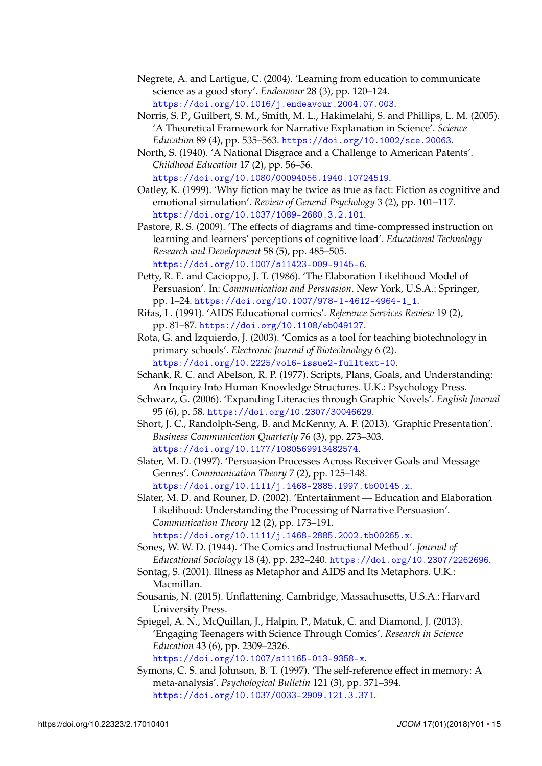- <span id="page-14-16"></span>Negrete, A. and Lartigue, C. (2004). 'Learning from education to communicate science as a good story'. *Endeavour* 28 (3), pp. 120–124. <https://doi.org/10.1016/j.endeavour.2004.07.003>.
- <span id="page-14-15"></span>Norris, S. P., Guilbert, S. M., Smith, M. L., Hakimelahi, S. and Phillips, L. M. (2005). 'A Theoretical Framework for Narrative Explanation in Science'. *Science Education* 89 (4), pp. 535–563. <https://doi.org/10.1002/sce.20063>.
- <span id="page-14-3"></span>North, S. (1940). 'A National Disgrace and a Challenge to American Patents'. *Childhood Education* 17 (2), pp. 56–56. <https://doi.org/10.1080/00094056.1940.10724519>.
- <span id="page-14-10"></span>Oatley, K. (1999). 'Why fiction may be twice as true as fact: Fiction as cognitive and emotional simulation'. *Review of General Psychology* 3 (2), pp. 101–117. <https://doi.org/10.1037/1089-2680.3.2.101>.
- <span id="page-14-9"></span>Pastore, R. S. (2009). 'The effects of diagrams and time-compressed instruction on learning and learners' perceptions of cognitive load'. *Educational Technology Research and Development* 58 (5), pp. 485–505. <https://doi.org/10.1007/s11423-009-9145-6>.
- <span id="page-14-12"></span>Petty, R. E. and Cacioppo, J. T. (1986). 'The Elaboration Likelihood Model of Persuasion'. In: *Communication and Persuasion*. New York, U.S.A.: Springer, pp. 1–24. [https://doi.org/10.1007/978-1-4612-4964-1\\_1](https://doi.org/10.1007/978-1-4612-4964-1_1).
- <span id="page-14-7"></span>Rifas, L. (1991). 'AIDS Educational comics'. *Reference Services Review* 19 (2), pp. 81–87. <https://doi.org/10.1108/eb049127>.
- <span id="page-14-8"></span>Rota, G. and Izquierdo, J. (2003). 'Comics as a tool for teaching biotechnology in primary schools'. *Electronic Journal of Biotechnology* 6 (2). <https://doi.org/10.2225/vol6-issue2-fulltext-10>.
- <span id="page-14-11"></span>Schank, R. C. and Abelson, R. P. (1977). Scripts, Plans, Goals, and Understanding: An Inquiry Into Human Knowledge Structures. U.K.: Psychology Press.
- <span id="page-14-6"></span>Schwarz, G. (2006). 'Expanding Literacies through Graphic Novels'. *English Journal* 95 (6), p. 58. <https://doi.org/10.2307/30046629>.
- <span id="page-14-1"></span>Short, J. C., Randolph-Seng, B. and McKenny, A. F. (2013). 'Graphic Presentation'. *Business Communication Quarterly* 76 (3), pp. 273–303. <https://doi.org/10.1177/1080569913482574>.
- <span id="page-14-13"></span>Slater, M. D. (1997). 'Persuasion Processes Across Receiver Goals and Message Genres'. *Communication Theory* 7 (2), pp. 125–148. <https://doi.org/10.1111/j.1468-2885.1997.tb00145.x>.
- <span id="page-14-14"></span>Slater, M. D. and Rouner, D. (2002). 'Entertainment — Education and Elaboration Likelihood: Understanding the Processing of Narrative Persuasion'. *Communication Theory* 12 (2), pp. 173–191. <https://doi.org/10.1111/j.1468-2885.2002.tb00265.x>.
- <span id="page-14-4"></span>Sones, W. W. D. (1944). 'The Comics and Instructional Method'. *Journal of Educational Sociology* 18 (4), pp. 232–240. <https://doi.org/10.2307/2262696>.
- <span id="page-14-17"></span>Sontag, S. (2001). Illness as Metaphor and AIDS and Its Metaphors. U.K.: Macmillan.
- <span id="page-14-0"></span>Sousanis, N. (2015). Unflattening. Cambridge, Massachusetts, U.S.A.: Harvard University Press.
- <span id="page-14-2"></span>Spiegel, A. N., McQuillan, J., Halpin, P., Matuk, C. and Diamond, J. (2013). 'Engaging Teenagers with Science Through Comics'. *Research in Science Education* 43 (6), pp. 2309–2326. <https://doi.org/10.1007/s11165-013-9358-x>.
- <span id="page-14-5"></span>Symons, C. S. and Johnson, B. T. (1997). 'The self-reference effect in memory: A meta-analysis'. *Psychological Bulletin* 121 (3), pp. 371–394.

<https://doi.org/10.1037/0033-2909.121.3.371>.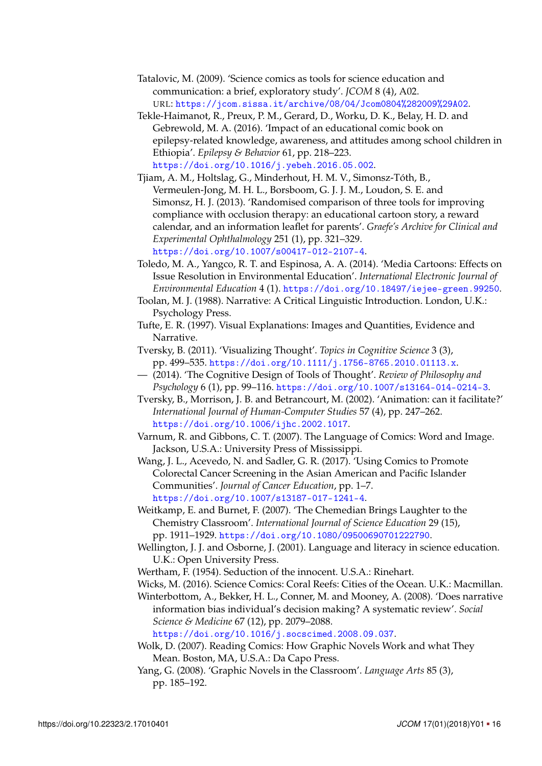- <span id="page-15-2"></span>Tatalovic, M. (2009). 'Science comics as tools for science education and communication: a brief, exploratory study'. *JCOM* 8 (4), A02. URL: <https://jcom.sissa.it/archive/08/04/Jcom0804%282009%29A02>.
- <span id="page-15-5"></span>Tekle-Haimanot, R., Preux, P. M., Gerard, D., Worku, D. K., Belay, H. D. and Gebrewold, M. A. (2016). 'Impact of an educational comic book on epilepsy-related knowledge, awareness, and attitudes among school children in Ethiopia'. *Epilepsy & Behavior* 61, pp. 218–223. <https://doi.org/10.1016/j.yebeh.2016.05.002>.
- <span id="page-15-6"></span>Tjiam, A. M., Holtslag, G., Minderhout, H. M. V., Simonsz-Tóth, B., Vermeulen-Jong, M. H. L., Borsboom, G. J. J. M., Loudon, S. E. and Simonsz, H. J. (2013). 'Randomised comparison of three tools for improving compliance with occlusion therapy: an educational cartoon story, a reward calendar, and an information leaflet for parents'. *Graefe's Archive for Clinical and Experimental Ophthalmology* 251 (1), pp. 321–329. <https://doi.org/10.1007/s00417-012-2107-4>.

<span id="page-15-4"></span>Toledo, M. A., Yangco, R. T. and Espinosa, A. A. (2014). 'Media Cartoons: Effects on Issue Resolution in Environmental Education'. *International Electronic Journal of Environmental Education* 4 (1). <https://doi.org/10.18497/iejee-green.99250>.

<span id="page-15-10"></span>Toolan, M. J. (1988). Narrative: A Critical Linguistic Introduction. London, U.K.: Psychology Press.

- <span id="page-15-8"></span>Tufte, E. R. (1997). Visual Explanations: Images and Quantities, Evidence and Narrative.
- <span id="page-15-9"></span>Tversky, B. (2011). 'Visualizing Thought'. *Topics in Cognitive Science* 3 (3), pp. 499–535. <https://doi.org/10.1111/j.1756-8765.2010.01113.x>.
- <span id="page-15-15"></span>— (2014). 'The Cognitive Design of Tools of Thought'. *Review of Philosophy and Psychology* 6 (1), pp. 99–116. <https://doi.org/10.1007/s13164-014-0214-3>.
- <span id="page-15-16"></span>Tversky, B., Morrison, J. B. and Betrancourt, M. (2002). 'Animation: can it facilitate?' *International Journal of Human-Computer Studies* 57 (4), pp. 247–262. <https://doi.org/10.1006/ijhc.2002.1017>.
- <span id="page-15-1"></span>Varnum, R. and Gibbons, C. T. (2007). The Language of Comics: Word and Image. Jackson, U.S.A.: University Press of Mississippi.
- <span id="page-15-7"></span>Wang, J. L., Acevedo, N. and Sadler, G. R. (2017). 'Using Comics to Promote Colorectal Cancer Screening in the Asian American and Pacific Islander Communities'. *Journal of Cancer Education*, pp. 1–7. <https://doi.org/10.1007/s13187-017-1241-4>.
- <span id="page-15-0"></span>Weitkamp, E. and Burnet, F. (2007). 'The Chemedian Brings Laughter to the Chemistry Classroom'. *International Journal of Science Education* 29 (15), pp. 1911–1929. <https://doi.org/10.1080/09500690701222790>.
- <span id="page-15-11"></span>Wellington, J. J. and Osborne, J. (2001). Language and literacy in science education. U.K.: Open University Press.
- <span id="page-15-3"></span>Wertham, F. (1954). Seduction of the innocent. U.S.A.: Rinehart.
- <span id="page-15-13"></span>Wicks, M. (2016). Science Comics: Coral Reefs: Cities of the Ocean. U.K.: Macmillan.
- <span id="page-15-12"></span>Winterbottom, A., Bekker, H. L., Conner, M. and Mooney, A. (2008). 'Does narrative information bias individual's decision making? A systematic review'. *Social Science & Medicine* 67 (12), pp. 2079–2088. <https://doi.org/10.1016/j.socscimed.2008.09.037>.
- <span id="page-15-14"></span>Wolk, D. (2007). Reading Comics: How Graphic Novels Work and what They Mean. Boston, MA, U.S.A.: Da Capo Press.
- <span id="page-15-17"></span>Yang, G. (2008). 'Graphic Novels in the Classroom'. *Language Arts* 85 (3), pp. 185–192.